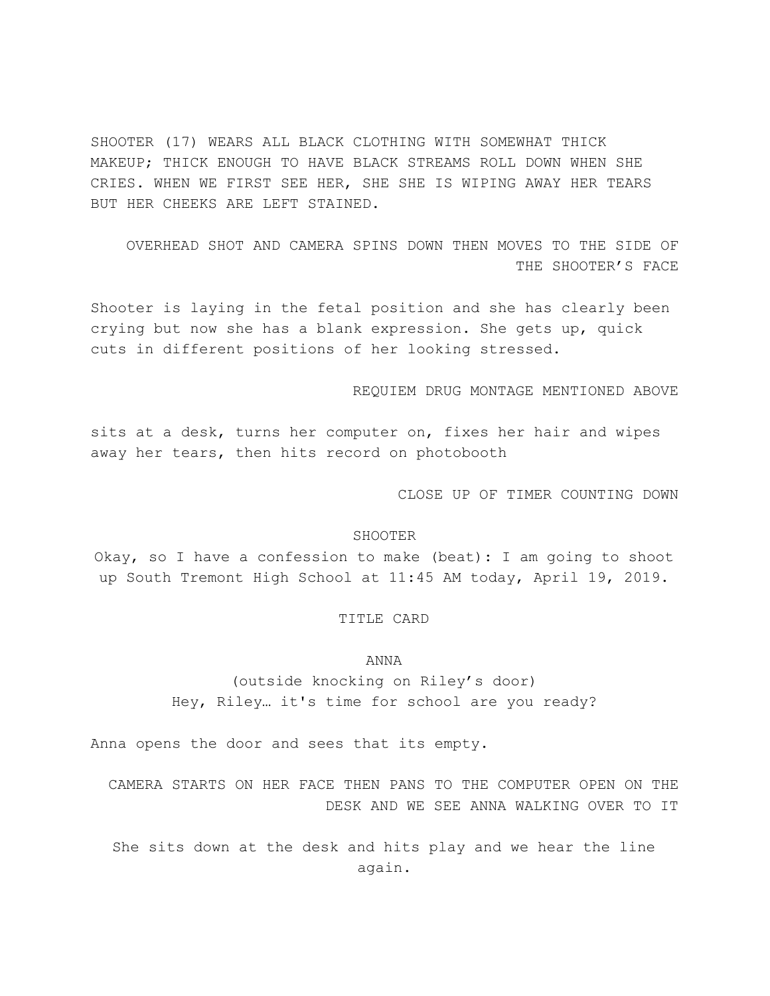SHOOTER (17) WEARS ALL BLACK CLOTHING WITH SOMEWHAT THICK MAKEUP; THICK ENOUGH TO HAVE BLACK STREAMS ROLL DOWN WHEN SHE CRIES. WHEN WE FIRST SEE HER, SHE SHE IS WIPING AWAY HER TEARS BUT HER CHEEKS ARE LEFT STAINED.

OVERHEAD SHOT AND CAMERA SPINS DOWN THEN MOVES TO THE SIDE OF THE SHOOTER'S FACE

Shooter is laying in the fetal position and she has clearly been crying but now she has a blank expression. She gets up, quick cuts in different positions of her looking stressed.

REQUIEM DRUG MONTAGE MENTIONED ABOVE

sits at a desk, turns her computer on, fixes her hair and wipes away her tears, then hits record on photobooth

CLOSE UP OF TIMER COUNTING DOWN

# SHOOTER

Okay, so I have a confession to make (beat): I am going to shoot up South Tremont High School at 11:45 AM today, April 19, 2019.

### TITLE CARD

#### ANNA

(outside knocking on Riley's door) Hey, Riley… it's time for school are you ready?

Anna opens the door and sees that its empty.

CAMERA STARTS ON HER FACE THEN PANS TO THE COMPUTER OPEN ON THE DESK AND WE SEE ANNA WALKING OVER TO IT

She sits down at the desk and hits play and we hear the line again.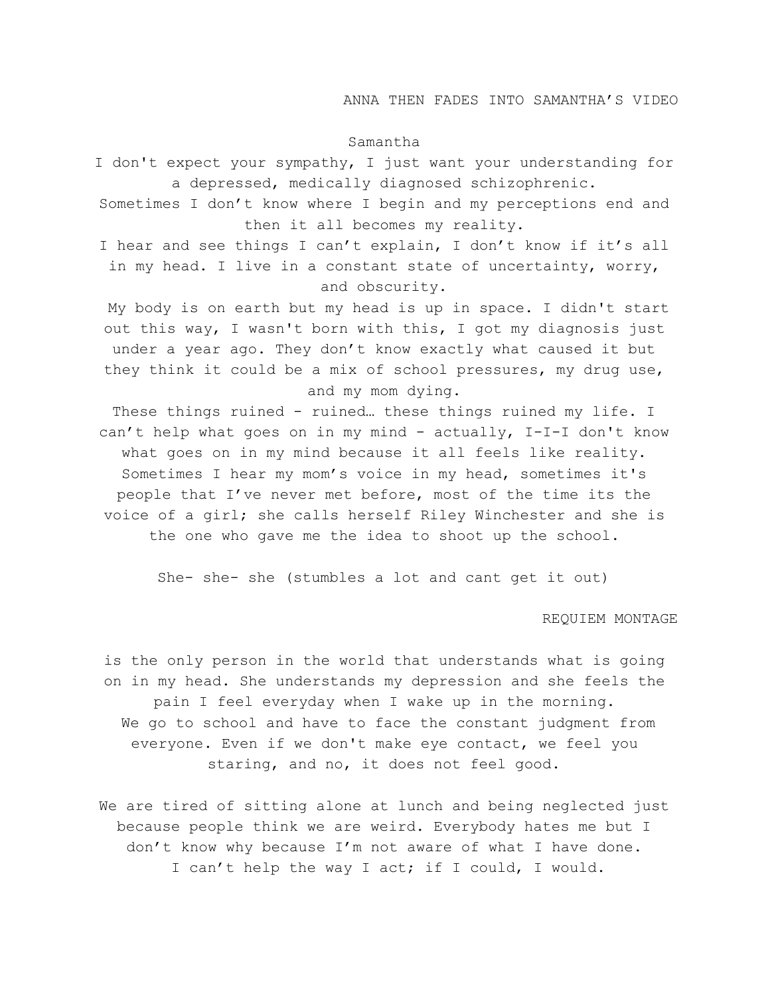# ANNA THEN FADES INTO SAMANTHA'S VIDEO

### Samantha

I don't expect your sympathy, I just want your understanding for a depressed, medically diagnosed schizophrenic.

Sometimes I don't know where I begin and my perceptions end and then it all becomes my reality.

I hear and see things I can't explain, I don't know if it's all in my head. I live in a constant state of uncertainty, worry, and obscurity.

 My body is on earth but my head is up in space. I didn't start out this way, I wasn't born with this, I got my diagnosis just under a year ago. They don't know exactly what caused it but they think it could be a mix of school pressures, my drug use, and my mom dying.

These things ruined - ruined… these things ruined my life. I can't help what goes on in my mind - actually, I-I-I don't know what goes on in my mind because it all feels like reality. Sometimes I hear my mom's voice in my head, sometimes it's people that I've never met before, most of the time its the voice of a girl; she calls herself Riley Winchester and she is the one who gave me the idea to shoot up the school.

She- she- she (stumbles a lot and cant get it out)

### REQUIEM MONTAGE

is the only person in the world that understands what is going on in my head. She understands my depression and she feels the pain I feel everyday when I wake up in the morning. We go to school and have to face the constant judgment from everyone. Even if we don't make eye contact, we feel you staring, and no, it does not feel good.

We are tired of sitting alone at lunch and being neglected just because people think we are weird. Everybody hates me but I don't know why because I'm not aware of what I have done. I can't help the way I act; if I could, I would.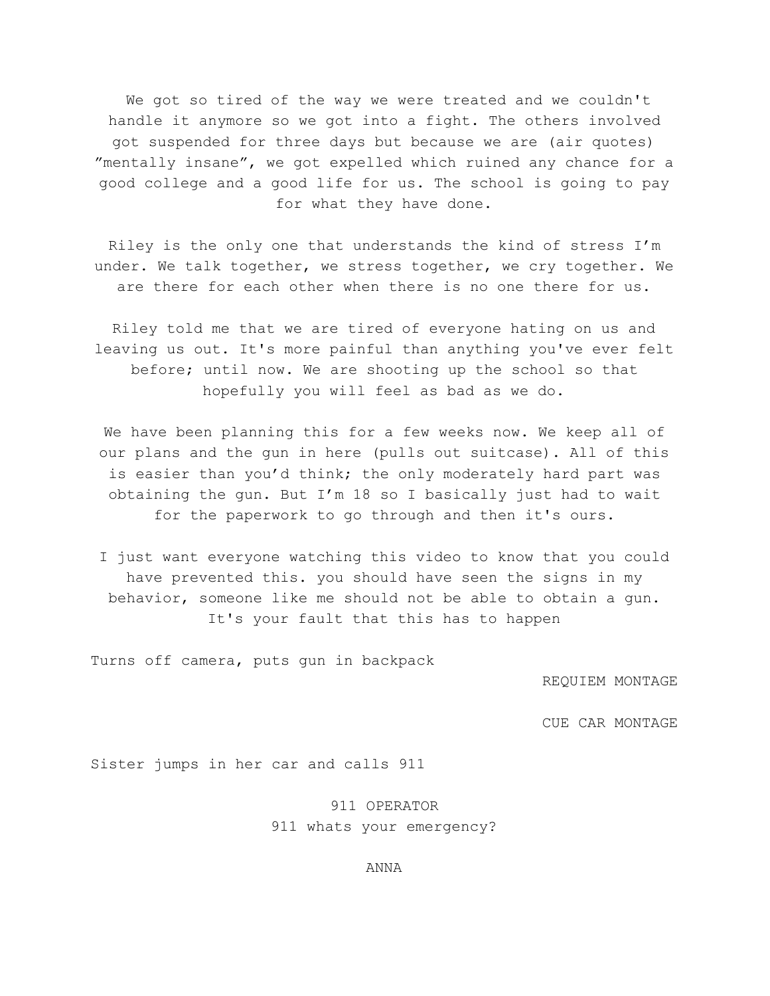We got so tired of the way we were treated and we couldn't handle it anymore so we got into a fight. The others involved got suspended for three days but because we are (air quotes) "mentally insane", we got expelled which ruined any chance for a good college and a good life for us. The school is going to pay for what they have done.

Riley is the only one that understands the kind of stress I'm under. We talk together, we stress together, we cry together. We are there for each other when there is no one there for us.

Riley told me that we are tired of everyone hating on us and leaving us out. It's more painful than anything you've ever felt before; until now. We are shooting up the school so that hopefully you will feel as bad as we do.

We have been planning this for a few weeks now. We keep all of our plans and the gun in here (pulls out suitcase). All of this is easier than you'd think; the only moderately hard part was obtaining the gun. But I'm 18 so I basically just had to wait for the paperwork to go through and then it's ours.

I just want everyone watching this video to know that you could have prevented this. you should have seen the signs in my behavior, someone like me should not be able to obtain a gun. It's your fault that this has to happen

Turns off camera, puts gun in backpack

REQUIEM MONTAGE

CUE CAR MONTAGE

Sister jumps in her car and calls 911

911 OPERATOR 911 whats your emergency?

ANNA